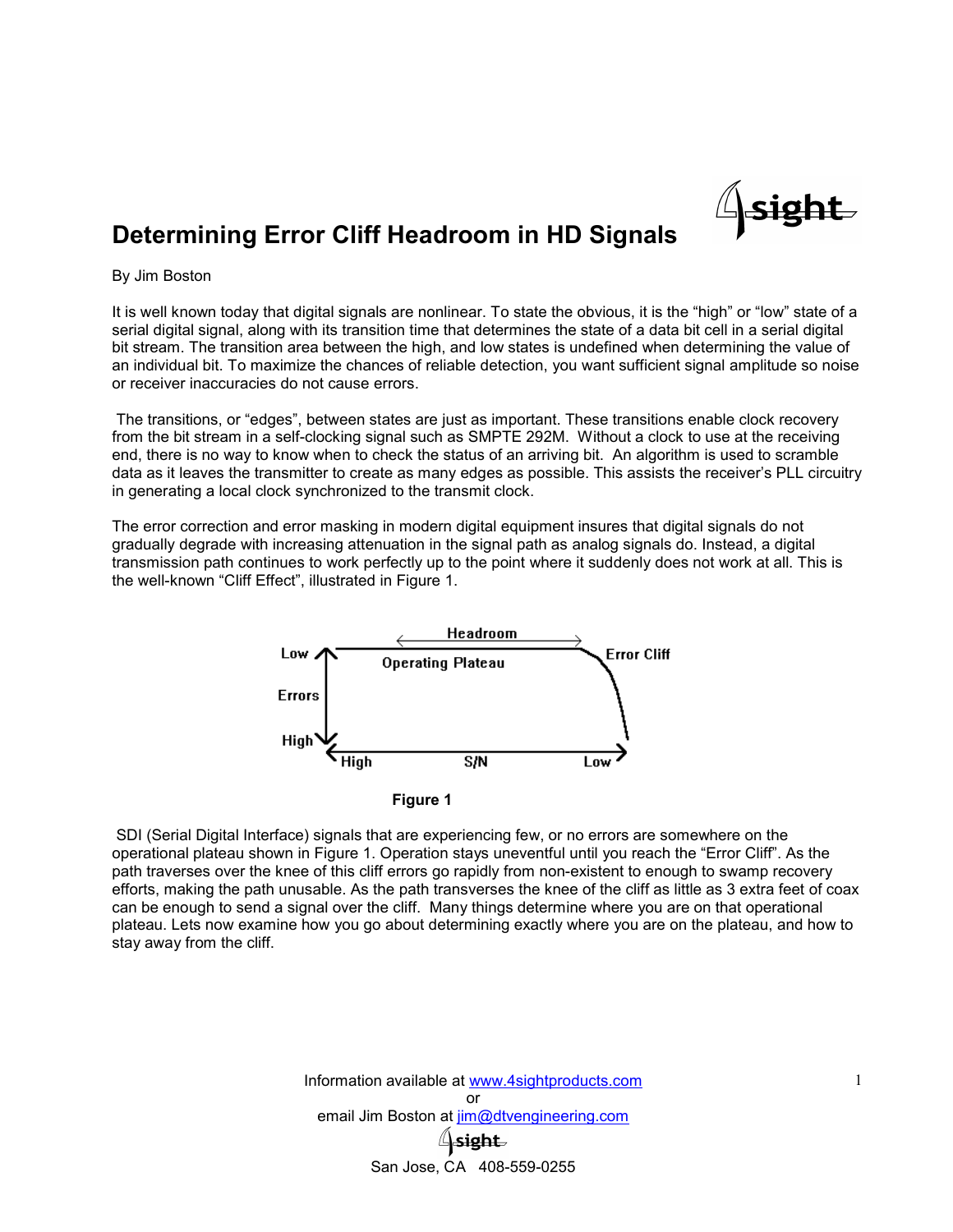

# Determining Error Cliff Headroom in HD Signals

#### By Jim Boston

It is well known today that digital signals are nonlinear. To state the obvious, it is the "high" or "low" state of a serial digital signal, along with its transition time that determines the state of a data bit cell in a serial digital bit stream. The transition area between the high, and low states is undefined when determining the value of an individual bit. To maximize the chances of reliable detection, you want sufficient signal amplitude so noise or receiver inaccuracies do not cause errors.

The transitions, or "edges", between states are just as important. These transitions enable clock recovery from the bit stream in a self-clocking signal such as SMPTE 292M. Without a clock to use at the receiving end, there is no way to know when to check the status of an arriving bit. An algorithm is used to scramble data as it leaves the transmitter to create as many edges as possible. This assists the receiver's PLL circuitry in generating a local clock synchronized to the transmit clock.

The error correction and error masking in modern digital equipment insures that digital signals do not gradually degrade with increasing attenuation in the signal path as analog signals do. Instead, a digital transmission path continues to work perfectly up to the point where it suddenly does not work at all. This is the well-known "Cliff Effect", illustrated in Figure 1.



Figure 1

SDI (Serial Digital Interface) signals that are experiencing few, or no errors are somewhere on the operational plateau shown in Figure 1. Operation stays uneventful until you reach the "Error Cliff". As the path traverses over the knee of this cliff errors go rapidly from non-existent to enough to swamp recovery efforts, making the path unusable. As the path transverses the knee of the cliff as little as 3 extra feet of coax can be enough to send a signal over the cliff. Many things determine where you are on that operational plateau. Lets now examine how you go about determining exactly where you are on the plateau, and how to stay away from the cliff.

> Information available at www.4sightproducts.com or email Jim Boston at  $\lim_{\omega}$ dtvengineering.com San Jose, CA 408-559-0255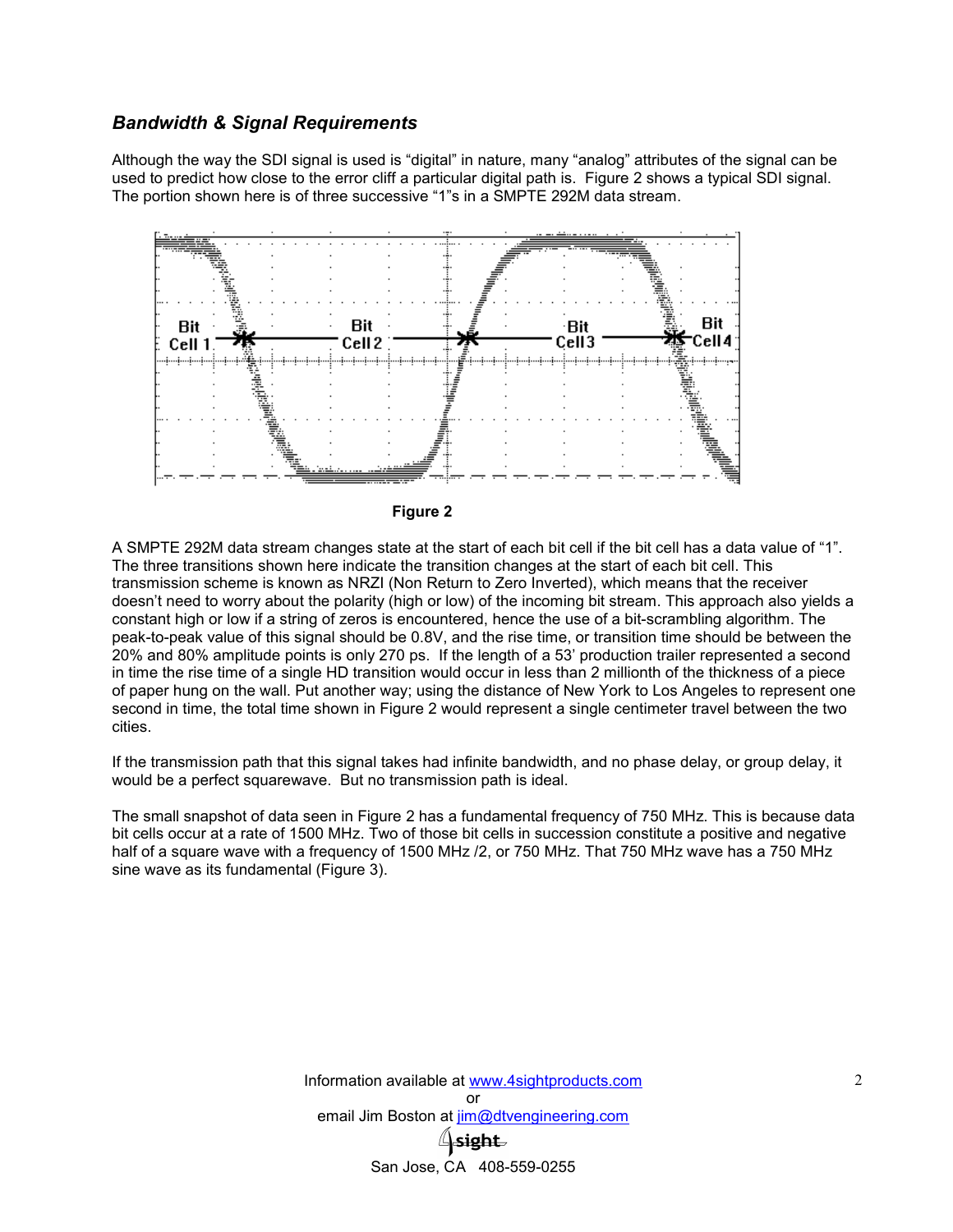## *Bandwidth & Signal Requirements*

Although the way the SDI signal is used is "digital" in nature, many "analog" attributes of the signal can be used to predict how close to the error cliff a particular digital path is. Figure 2 shows a typical SDI signal. The portion shown here is of three successive "1"s in a SMPTE 292M data stream.





A SMPTE 292M data stream changes state at the start of each bit cell if the bit cell has a data value of "1". The three transitions shown here indicate the transition changes at the start of each bit cell. This transmission scheme is known as NRZI (Non Return to Zero Inverted), which means that the receiver doesn't need to worry about the polarity (high or low) of the incoming bit stream. This approach also yields a constant high or low if a string of zeros is encountered, hence the use of a bit-scrambling algorithm. The peak-to-peak value of this signal should be 0.8V, and the rise time, or transition time should be between the 20% and 80% amplitude points is only 270 ps. If the length of a 53' production trailer represented a second in time the rise time of a single HD transition would occur in less than 2 millionth of the thickness of a piece of paper hung on the wall. Put another way; using the distance of New York to Los Angeles to represent one second in time, the total time shown in Figure 2 would represent a single centimeter travel between the two cities.

If the transmission path that this signal takes had infinite bandwidth, and no phase delay, or group delay, it would be a perfect squarewave. But no transmission path is ideal.

The small snapshot of data seen in Figure 2 has a fundamental frequency of 750 MHz. This is because data bit cells occur at a rate of 1500 MHz. Two of those bit cells in succession constitute a positive and negative half of a square wave with a frequency of 1500 MHz /2, or 750 MHz. That 750 MHz wave has a 750 MHz sine wave as its fundamental (Figure 3).

> Information available at www.4sightproducts.com or email Jim Boston at  $\lim_{\omega}$ dtvengineering.com  $\mathsf{Isight}\ \mathsf{$ San Jose, CA 408-559-0255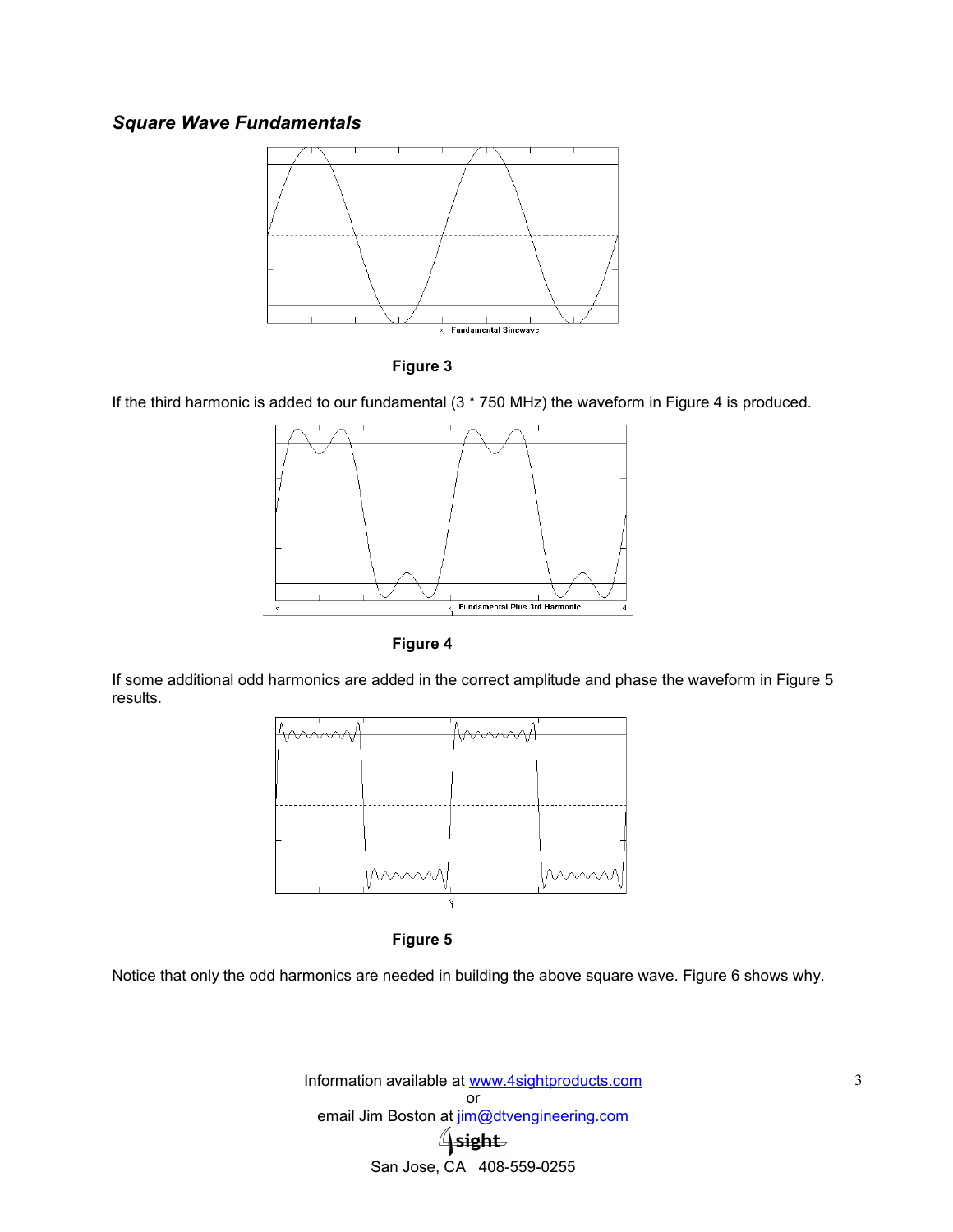# *Square Wave Fundamentals*





If the third harmonic is added to our fundamental (3 \* 750 MHz) the waveform in Figure 4 is produced.



Figure 4

If some additional odd harmonics are added in the correct amplitude and phase the waveform in Figure 5 results.



Figure 5

Notice that only the odd harmonics are needed in building the above square wave. Figure 6 shows why.

Information available at www.4sightproducts.com or email Jim Boston at jim@dtvengineering.com  $\triangle$ sight San Jose, CA 408-559-0255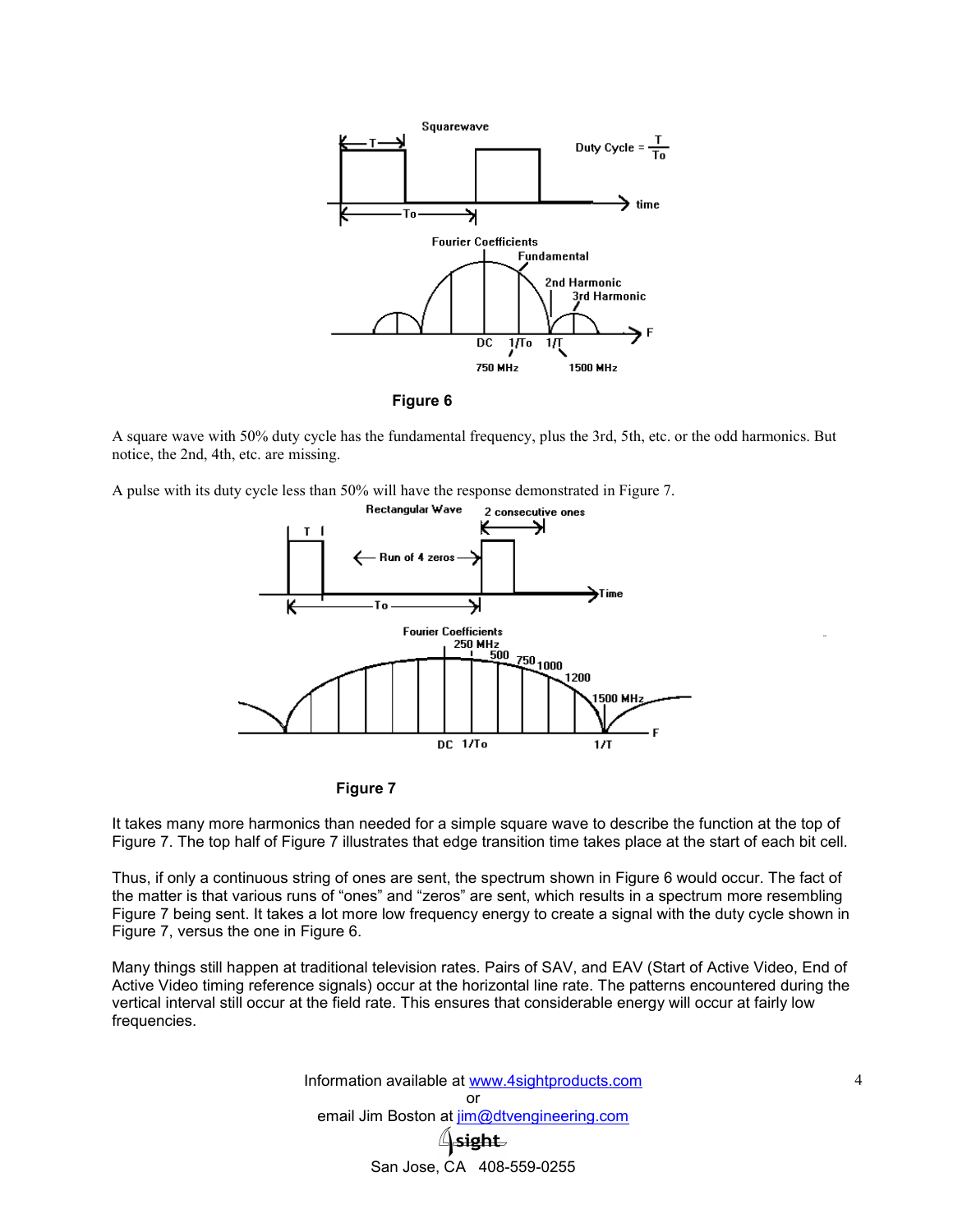

Figure 6

A square wave with 50% duty cycle has the fundamental frequency, plus the 3rd, 5th, etc. or the odd harmonics. But notice, the 2nd, 4th, etc. are missing.

A pulse with its duty cycle less than 50% will have the response demonstrated in Figure 7.





It takes many more harmonics than needed for a simple square wave to describe the function at the top of Figure 7. The top half of Figure 7 illustrates that edge transition time takes place at the start of each bit cell.

Thus, if only a continuous string of ones are sent, the spectrum shown in Figure 6 would occur. The fact of the matter is that various runs of "ones" and "zeros" are sent, which results in a spectrum more resembling Figure 7 being sent. It takes a lot more low frequency energy to create a signal with the duty cycle shown in Figure 7, versus the one in Figure 6.

Many things still happen at traditional television rates. Pairs of SAV, and EAV (Start of Active Video, End of Active Video timing reference signals) occur at the horizontal line rate. The patterns encountered during the vertical interval still occur at the field rate. This ensures that considerable energy will occur at fairly low frequencies.

> Information available at www.4sightproducts.com or email Jim Boston at jim@dtvengineering.com **\sight** San Jose, CA 408-559-0255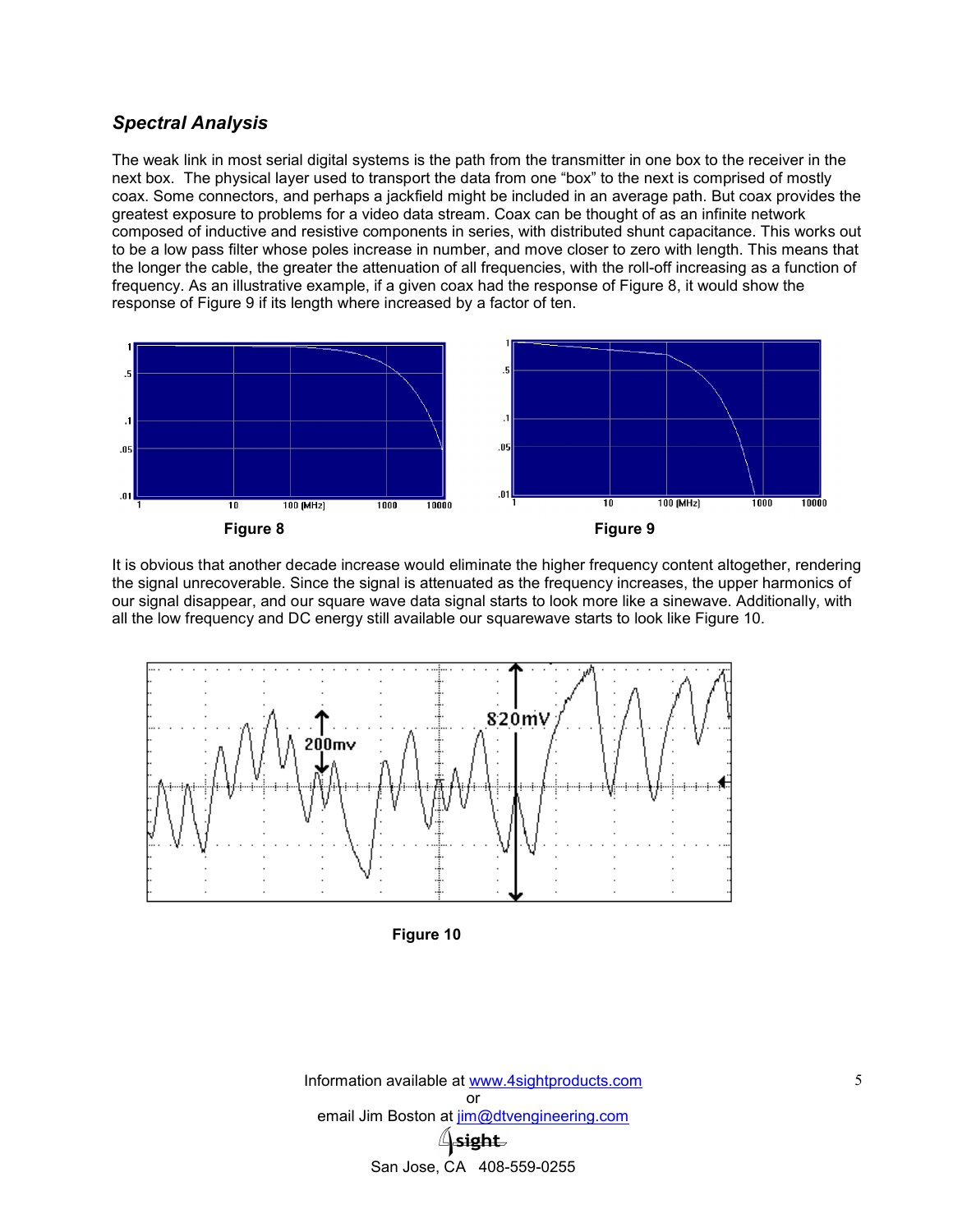## *Spectral Analysis*

The weak link in most serial digital systems is the path from the transmitter in one box to the receiver in the next box. The physical layer used to transport the data from one "box" to the next is comprised of mostly coax. Some connectors, and perhaps a jackfield might be included in an average path. But coax provides the greatest exposure to problems for a video data stream. Coax can be thought of as an infinite network composed of inductive and resistive components in series, with distributed shunt capacitance. This works out to be a low pass filter whose poles increase in number, and move closer to zero with length. This means that the longer the cable, the greater the attenuation of all frequencies, with the roll-off increasing as a function of frequency. As an illustrative example, if a given coax had the response of Figure 8, it would show the response of Figure 9 if its length where increased by a factor of ten.



It is obvious that another decade increase would eliminate the higher frequency content altogether, rendering the signal unrecoverable. Since the signal is attenuated as the frequency increases, the upper harmonics of our signal disappear, and our square wave data signal starts to look more like a sinewave. Additionally, with all the low frequency and DC energy still available our squarewave starts to look like Figure 10.





Information available at www.4sightproducts.com or email Jim Boston at jim@dtvengineering.com **Sight** San Jose, CA 408-559-0255